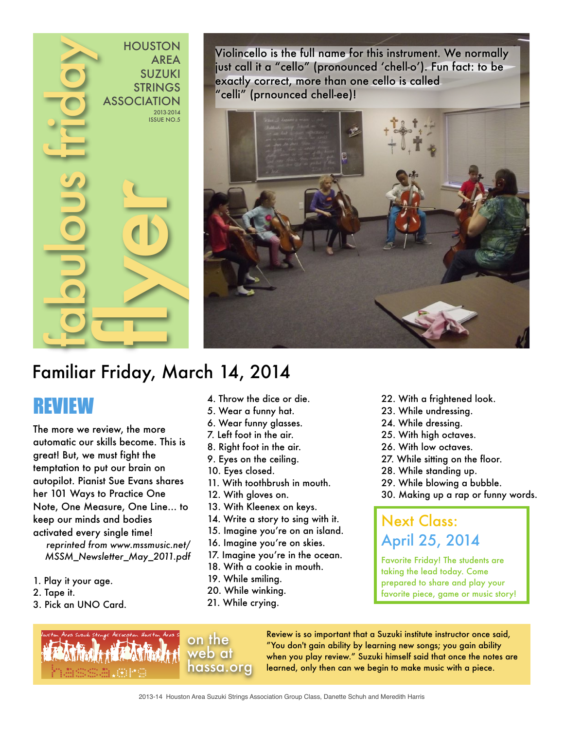

Violincello is the full name for this instrument. We normally just call it a "cello" (pronounced 'chell-o'). Fun fact: to be exactly correct, more than one cello is called "celli" (prnounced chell-ee)!



## Familiar Friday, March 14, 2014

# REVIEW

The more we review, the more automatic our skills become. This is great! But, we must fight the temptation to put our brain on autopilot. Pianist Sue Evans shares her 101 Ways to Practice One Note, One Measure, One Line… to keep our minds and bodies activated every single time! *reprinted from www.mssmusic.net/*

*MSSM\_Newsletter\_May\_2011.pdf*

- 1. Play it your age.
- 2. Tape it.
- 3. Pick an UNO Card.
- 4. Throw the dice or die.
- 5. Wear a funny hat.
- 6. Wear funny glasses.
- 7. Left foot in the air.
- 8. Right foot in the air.
- 9. Eyes on the ceiling.
- 10. Eyes closed.
- 11. With toothbrush in mouth.
- 12. With gloves on.
- 13. With Kleenex on keys.
- 14. Write a story to sing with it.
- 15. Imagine you're on an island.
- 16. Imagine you're on skies.
- 17. Imagine you're in the ocean.
- 18. With a cookie in mouth.
- 19. While smiling.
- 20. While winking.
- 21. While crying.
- 22. With a frightened look.
- 23. While undressing.
- 24. While dressing.
- 25. With high octaves.
- 26. With low octaves.
- 27. While sitting on the floor.
- 28. While standing up.
- 29. While blowing a bubble.
- 30. Making up a rap or funny words.

### Next Class: April 25, 2014

Favorite Friday! The students are taking the lead today. Come prepared to share and play your favorite piece, game or music story!





Review is so important that a Suzuki institute instructor once said, "You don't gain ability by learning new songs; you gain ability when you play review." Suzuki himself said that once the notes are learned, only then can we begin to make music with a piece.